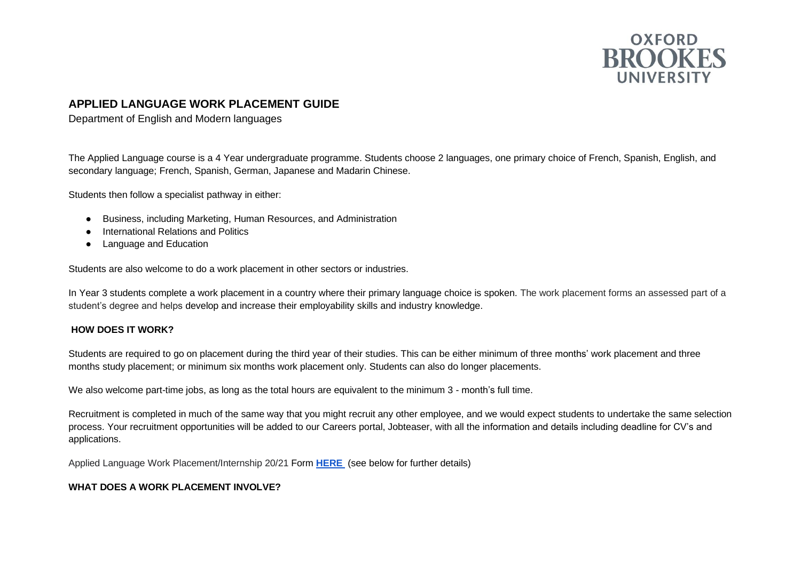

# **APPLIED LANGUAGE WORK PLACEMENT GUIDE**

Department of English and Modern languages

The Applied Language course is a 4 Year undergraduate programme. Students choose 2 languages, one primary choice of French, Spanish, English, and secondary language; French, Spanish, German, Japanese and Madarin Chinese.

Students then follow a specialist pathway in either:

- Business, including Marketing, Human Resources, and Administration
- **International Relations and Politics**
- Language and Education

Students are also welcome to do a work placement in other sectors or industries.

In Year 3 students complete a work placement in a country where their primary language choice is spoken. The work placement forms an assessed part of a student's degree and helps develop and increase their employability skills and industry knowledge.

### **HOW DOES IT WORK?**

Students are required to go on placement during the third year of their studies. This can be either minimum of three months' work placement and three months study placement; or minimum six months work placement only. Students can also do longer placements.

We also welcome part-time jobs, as long as the total hours are equivalent to the minimum 3 - month's full time.

Recruitment is completed in much of the same way that you might recruit any other employee, and we would expect students to undertake the same selection process. Your recruitment opportunities will be added to our Careers portal, Jobteaser, with all the information and details including deadline for CV's and applications.

Applied Language Work Placement/Internship 20/21 Form **[HERE](https://docs.google.com/forms/d/e/1FAIpQLSfQXD1aHZtzBb3vRM6SkVLycxJDTXprufknVD3sE5xtbMYO-w/viewform)** (see below for further details)

### **WHAT DOES A WORK PLACEMENT INVOLVE?**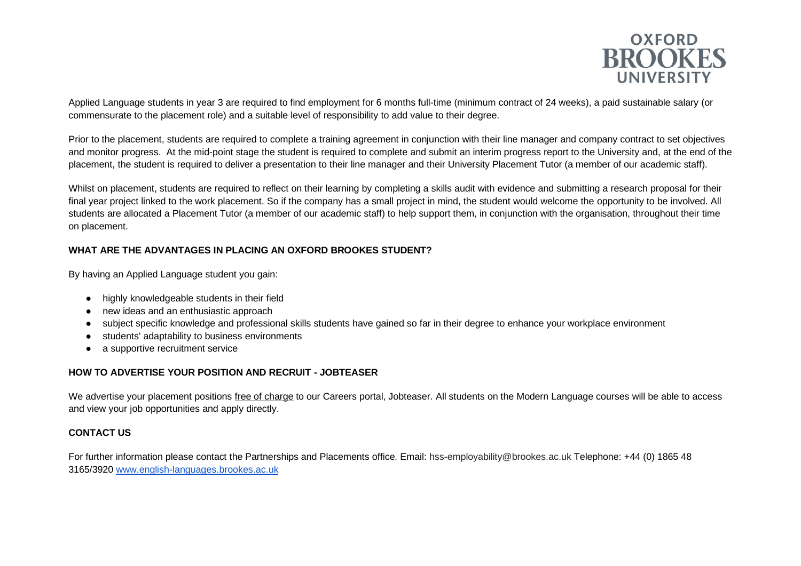

Applied Language students in year 3 are required to find employment for 6 months full-time (minimum contract of 24 weeks), a paid sustainable salary (or commensurate to the placement role) and a suitable level of responsibility to add value to their degree.

Prior to the placement, students are required to complete a training agreement in conjunction with their line manager and company contract to set objectives and monitor progress. At the mid-point stage the student is required to complete and submit an interim progress report to the University and, at the end of the placement, the student is required to deliver a presentation to their line manager and their University Placement Tutor (a member of our academic staff).

Whilst on placement, students are required to reflect on their learning by completing a skills audit with evidence and submitting a research proposal for their final year project linked to the work placement. So if the company has a small project in mind, the student would welcome the opportunity to be involved. All students are allocated a Placement Tutor (a member of our academic staff) to help support them, in conjunction with the organisation, throughout their time on placement.

# **WHAT ARE THE ADVANTAGES IN PLACING AN OXFORD BROOKES STUDENT?**

By having an Applied Language student you gain:

- highly knowledgeable students in their field
- new ideas and an enthusiastic approach
- subject specific knowledge and professional skills students have gained so far in their degree to enhance your workplace environment
- students' adaptability to business environments
- a supportive recruitment service

## **HOW TO ADVERTISE YOUR POSITION AND RECRUIT - JOBTEASER**

We advertise your placement positions free of charge to our Careers portal, Jobteaser. All students on the Modern Language courses will be able to access and view your job opportunities and apply directly.

## **CONTACT US**

For further information please contact the Partnerships and Placements office. Email: hss-employability@brookes.ac.uk Telephone: +44 (0) 1865 48 3165/3920 [www.english-languages.brookes.ac.uk](http://www.english-languages.brookes.ac.uk/)